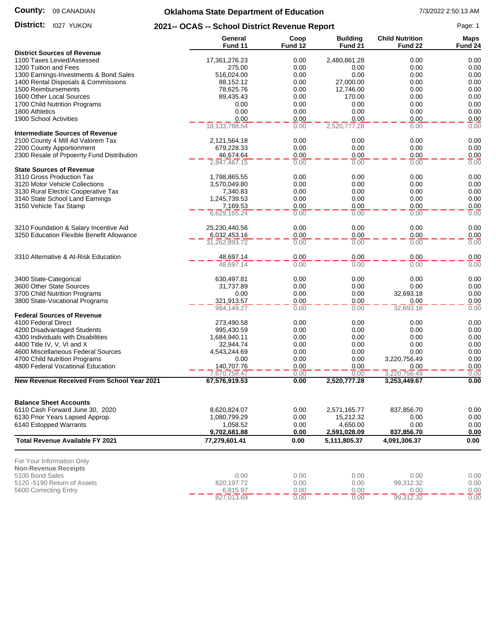#### **County:** 09 CANADIAN

# **Oklahoma State Department of Education** 7/3/2022 2:50:13 AM

District: 1027 YUKON

**District:** 1027 YUKON **2021-- OCAS -- School District Revenue Report** Page: 1

| <b>District Sources of Revenue</b><br>0.00<br>1100 Taxes Levied/Assessed<br>17,361,276.23<br>0.00<br>2,480,861.28<br>0.00<br>0.00<br>1200 Tuition and Fees<br>275.00<br>0.00<br>0.00<br>0.00<br>0.00<br>0.00<br>0.00<br>1300 Earnings-Investments & Bond Sales<br>516,024.00<br>0.00<br>1400 Rental Disposals & Commissions<br>27,000.00<br>0.00<br>88,152.12<br>0.00<br>0.00<br>1500 Reimbursements<br>12,746.00<br>0.00<br>78,625.76<br>0.00<br>0.00<br>0.00<br>1600 Other Local Sources<br>89,435.43<br>0.00<br>170.00<br>0.00<br>0.00<br>1700 Child Nutrition Programs<br>0.00<br>0.00<br>0.00<br>0.00<br>0.00<br>0.00<br>0.00<br>0.00<br>0.00<br>1800 Athletics<br>0.00<br>1900 School Activities<br>0.00<br>0.00<br>0.00<br>0.00<br>18, 133, 788.54<br>2,520,777.28<br>0.00<br>0.00<br>0.00<br><b>Intermediate Sources of Revenue</b><br>0.00<br>0.00<br>0.00<br>0.00<br>2100 County 4 Mill Ad Valorem Tax<br>2,121,564.18<br>2200 County Apportionment<br>0.00<br>0.00<br>0.00<br>0.00<br>679,228.33<br>2300 Resale of Prpoerrty Fund Distribution<br>46,674.64<br>0.00<br>0.00<br>0.00<br>0.00<br>0.00<br>0.00<br>0.00<br>0.00<br>2,847,467.15<br><b>State Sources of Revenue</b><br>0.00<br>3110 Gross Production Tax<br>1,798,865.55<br>0.00<br>0.00<br>0.00<br>0.00<br>0.00<br>0.00<br>0.00<br>3120 Motor Vehicle Collections<br>3,570,049.80<br>0.00<br>3130 Rural Electric Cooperative Tax<br>0.00<br>0.00<br>0.00<br>7,340.83<br>1,245,739.53<br>0.00<br>0.00<br>0.00<br>3140 State School Land Earnings<br>0.00<br>0.00<br>3150 Vehicle Tax Stamp<br>0.00<br>0.00<br>0.00<br>7,169.53<br>0.00<br>0.00<br>0.00<br>0.00<br>6,629,165.24<br>0.00<br>3210 Foundation & Salary Incentive Aid<br>0.00<br>0.00<br>0.00<br>25,230,440.56<br>3250 Education Flexible Benefit Allowance<br>0.00<br>0.00<br>0.00<br>6,032,453.16<br>0.00<br>0.00<br>0.00<br>31,262,893.72<br>0.00<br>0.00<br>3310 Alternative & At-Risk Education<br>0.00<br>0.00<br>0.00<br>0.00<br>48,697.14<br>0.00<br>0.00<br>0.00<br>0.00<br>48,697.14<br>0.00<br>0.00<br>0.00<br>3400 State-Categorical<br>630,497.81<br>0.00<br>3600 Other State Sources<br>0.00<br>0.00<br>31,737.89<br>0.00<br>0.00<br>0.00<br>32,693.18<br>0.00<br>3700 Child Nutrition Programs<br>0.00<br>0.00<br>3800 State-Vocational Programs<br>321,913.57<br>0.00<br>0.00<br>0.00<br>0.00<br>0.00<br>0.00<br>0.00<br>984,149.27<br>32,693.18<br><b>Federal Sources of Revenue</b><br>0.00<br>4100 Federal Direct<br>273,490.58<br>0.00<br>0.00<br>0.00<br>0.00<br>0.00<br>0.00<br>4200 Disadvantaged Students<br>995,430.59<br>0.00<br>4300 Individuals with Disabilities<br>0.00<br>1,684,940.11<br>0.00<br>0.00<br>0.00<br>0.00<br>0.00<br>4400 Title IV, V, VI and X<br>32,944.74<br>0.00<br>0.00<br>0.00<br>4600 Miscellaneous Federal Sources<br>4,543,244.69<br>0.00<br>0.00<br>0.00<br>0.00<br>3,220,756.49<br>4700 Child Nutrition Programs<br>0.00<br>0.00<br>0.00<br>4800 Federal Vocational Education<br>0.00<br>140,707.76<br>0.00<br>0.00<br>0.00<br>3,220,756.49<br>7,670,758.47<br>0.00<br>0.00<br>0.00<br><b>New Revenue Received From School Year 2021</b><br>0.00<br>67,576,919.53<br>0.00<br>2,520,777.28<br>3,253,449.67<br><b>Balance Sheet Accounts</b><br>6110 Cash Forward June 30, 2020<br>0.00<br>8,620,824.07<br>0.00<br>2,571,165.77<br>837,856.70<br>6130 Prior Years Lapsed Approp.<br>1,080,799.29<br>0.00<br>15,212.32<br>0.00<br>0.00<br>6140 Estopped Warrants<br>0.00<br>0.00<br>1,058.52<br>0.00<br>4,650.00<br>9,702,681.88<br>2,591,028.09<br>837,856.70<br>0.00<br>0.00<br><b>Total Revenue Available FY 2021</b><br>0.00<br>77,279,601.41<br>0.00<br>5,111,805.37<br>4,091,306.37<br>For Your Information Only<br><b>Non-Revenue Receipts</b><br>5100 Bond Sales<br>0.00<br>0.00<br>0.00<br>0.00<br>0.00<br>5120 -5190 Return of Assets<br>820,197.72<br>0.00<br>0.00<br>99,312.32<br>0.00<br>5600 Correcting Entry<br>0.00<br>0.00<br>0.00<br>6,815.97<br>0.00<br>0.00<br>0.00<br>99,312.32<br>827,013.69<br>0.00 | General<br>Fund 11 | Coop<br>Fund 12 | <b>Building</b><br>Fund 21 | <b>Child Nutrition</b><br>Fund 22 | <b>Maps</b><br>Fund 24 |
|-----------------------------------------------------------------------------------------------------------------------------------------------------------------------------------------------------------------------------------------------------------------------------------------------------------------------------------------------------------------------------------------------------------------------------------------------------------------------------------------------------------------------------------------------------------------------------------------------------------------------------------------------------------------------------------------------------------------------------------------------------------------------------------------------------------------------------------------------------------------------------------------------------------------------------------------------------------------------------------------------------------------------------------------------------------------------------------------------------------------------------------------------------------------------------------------------------------------------------------------------------------------------------------------------------------------------------------------------------------------------------------------------------------------------------------------------------------------------------------------------------------------------------------------------------------------------------------------------------------------------------------------------------------------------------------------------------------------------------------------------------------------------------------------------------------------------------------------------------------------------------------------------------------------------------------------------------------------------------------------------------------------------------------------------------------------------------------------------------------------------------------------------------------------------------------------------------------------------------------------------------------------------------------------------------------------------------------------------------------------------------------------------------------------------------------------------------------------------------------------------------------------------------------------------------------------------------------------------------------------------------------------------------------------------------------------------------------------------------------------------------------------------------------------------------------------------------------------------------------------------------------------------------------------------------------------------------------------------------------------------------------------------------------------------------------------------------------------------------------------------------------------------------------------------------------------------------------------------------------------------------------------------------------------------------------------------------------------------------------------------------------------------------------------------------------------------------------------------------------------------------------------------------------------------------------------------------------------------------------------------------------------------------------------------------------------------------------------------------------------------------------------------------------------------------------------------------------------------------------------------------------------------------------------------------------------------------------------------------------------------------------------|--------------------|-----------------|----------------------------|-----------------------------------|------------------------|
|                                                                                                                                                                                                                                                                                                                                                                                                                                                                                                                                                                                                                                                                                                                                                                                                                                                                                                                                                                                                                                                                                                                                                                                                                                                                                                                                                                                                                                                                                                                                                                                                                                                                                                                                                                                                                                                                                                                                                                                                                                                                                                                                                                                                                                                                                                                                                                                                                                                                                                                                                                                                                                                                                                                                                                                                                                                                                                                                                                                                                                                                                                                                                                                                                                                                                                                                                                                                                                                                                                                                                                                                                                                                                                                                                                                                                                                                                                                                                                                                                 |                    |                 |                            |                                   |                        |
|                                                                                                                                                                                                                                                                                                                                                                                                                                                                                                                                                                                                                                                                                                                                                                                                                                                                                                                                                                                                                                                                                                                                                                                                                                                                                                                                                                                                                                                                                                                                                                                                                                                                                                                                                                                                                                                                                                                                                                                                                                                                                                                                                                                                                                                                                                                                                                                                                                                                                                                                                                                                                                                                                                                                                                                                                                                                                                                                                                                                                                                                                                                                                                                                                                                                                                                                                                                                                                                                                                                                                                                                                                                                                                                                                                                                                                                                                                                                                                                                                 |                    |                 |                            |                                   |                        |
|                                                                                                                                                                                                                                                                                                                                                                                                                                                                                                                                                                                                                                                                                                                                                                                                                                                                                                                                                                                                                                                                                                                                                                                                                                                                                                                                                                                                                                                                                                                                                                                                                                                                                                                                                                                                                                                                                                                                                                                                                                                                                                                                                                                                                                                                                                                                                                                                                                                                                                                                                                                                                                                                                                                                                                                                                                                                                                                                                                                                                                                                                                                                                                                                                                                                                                                                                                                                                                                                                                                                                                                                                                                                                                                                                                                                                                                                                                                                                                                                                 |                    |                 |                            |                                   |                        |
|                                                                                                                                                                                                                                                                                                                                                                                                                                                                                                                                                                                                                                                                                                                                                                                                                                                                                                                                                                                                                                                                                                                                                                                                                                                                                                                                                                                                                                                                                                                                                                                                                                                                                                                                                                                                                                                                                                                                                                                                                                                                                                                                                                                                                                                                                                                                                                                                                                                                                                                                                                                                                                                                                                                                                                                                                                                                                                                                                                                                                                                                                                                                                                                                                                                                                                                                                                                                                                                                                                                                                                                                                                                                                                                                                                                                                                                                                                                                                                                                                 |                    |                 |                            |                                   |                        |
|                                                                                                                                                                                                                                                                                                                                                                                                                                                                                                                                                                                                                                                                                                                                                                                                                                                                                                                                                                                                                                                                                                                                                                                                                                                                                                                                                                                                                                                                                                                                                                                                                                                                                                                                                                                                                                                                                                                                                                                                                                                                                                                                                                                                                                                                                                                                                                                                                                                                                                                                                                                                                                                                                                                                                                                                                                                                                                                                                                                                                                                                                                                                                                                                                                                                                                                                                                                                                                                                                                                                                                                                                                                                                                                                                                                                                                                                                                                                                                                                                 |                    |                 |                            |                                   |                        |
|                                                                                                                                                                                                                                                                                                                                                                                                                                                                                                                                                                                                                                                                                                                                                                                                                                                                                                                                                                                                                                                                                                                                                                                                                                                                                                                                                                                                                                                                                                                                                                                                                                                                                                                                                                                                                                                                                                                                                                                                                                                                                                                                                                                                                                                                                                                                                                                                                                                                                                                                                                                                                                                                                                                                                                                                                                                                                                                                                                                                                                                                                                                                                                                                                                                                                                                                                                                                                                                                                                                                                                                                                                                                                                                                                                                                                                                                                                                                                                                                                 |                    |                 |                            |                                   |                        |
|                                                                                                                                                                                                                                                                                                                                                                                                                                                                                                                                                                                                                                                                                                                                                                                                                                                                                                                                                                                                                                                                                                                                                                                                                                                                                                                                                                                                                                                                                                                                                                                                                                                                                                                                                                                                                                                                                                                                                                                                                                                                                                                                                                                                                                                                                                                                                                                                                                                                                                                                                                                                                                                                                                                                                                                                                                                                                                                                                                                                                                                                                                                                                                                                                                                                                                                                                                                                                                                                                                                                                                                                                                                                                                                                                                                                                                                                                                                                                                                                                 |                    |                 |                            |                                   |                        |
|                                                                                                                                                                                                                                                                                                                                                                                                                                                                                                                                                                                                                                                                                                                                                                                                                                                                                                                                                                                                                                                                                                                                                                                                                                                                                                                                                                                                                                                                                                                                                                                                                                                                                                                                                                                                                                                                                                                                                                                                                                                                                                                                                                                                                                                                                                                                                                                                                                                                                                                                                                                                                                                                                                                                                                                                                                                                                                                                                                                                                                                                                                                                                                                                                                                                                                                                                                                                                                                                                                                                                                                                                                                                                                                                                                                                                                                                                                                                                                                                                 |                    |                 |                            |                                   |                        |
|                                                                                                                                                                                                                                                                                                                                                                                                                                                                                                                                                                                                                                                                                                                                                                                                                                                                                                                                                                                                                                                                                                                                                                                                                                                                                                                                                                                                                                                                                                                                                                                                                                                                                                                                                                                                                                                                                                                                                                                                                                                                                                                                                                                                                                                                                                                                                                                                                                                                                                                                                                                                                                                                                                                                                                                                                                                                                                                                                                                                                                                                                                                                                                                                                                                                                                                                                                                                                                                                                                                                                                                                                                                                                                                                                                                                                                                                                                                                                                                                                 |                    |                 |                            |                                   |                        |
|                                                                                                                                                                                                                                                                                                                                                                                                                                                                                                                                                                                                                                                                                                                                                                                                                                                                                                                                                                                                                                                                                                                                                                                                                                                                                                                                                                                                                                                                                                                                                                                                                                                                                                                                                                                                                                                                                                                                                                                                                                                                                                                                                                                                                                                                                                                                                                                                                                                                                                                                                                                                                                                                                                                                                                                                                                                                                                                                                                                                                                                                                                                                                                                                                                                                                                                                                                                                                                                                                                                                                                                                                                                                                                                                                                                                                                                                                                                                                                                                                 |                    |                 |                            |                                   |                        |
|                                                                                                                                                                                                                                                                                                                                                                                                                                                                                                                                                                                                                                                                                                                                                                                                                                                                                                                                                                                                                                                                                                                                                                                                                                                                                                                                                                                                                                                                                                                                                                                                                                                                                                                                                                                                                                                                                                                                                                                                                                                                                                                                                                                                                                                                                                                                                                                                                                                                                                                                                                                                                                                                                                                                                                                                                                                                                                                                                                                                                                                                                                                                                                                                                                                                                                                                                                                                                                                                                                                                                                                                                                                                                                                                                                                                                                                                                                                                                                                                                 |                    |                 |                            |                                   |                        |
|                                                                                                                                                                                                                                                                                                                                                                                                                                                                                                                                                                                                                                                                                                                                                                                                                                                                                                                                                                                                                                                                                                                                                                                                                                                                                                                                                                                                                                                                                                                                                                                                                                                                                                                                                                                                                                                                                                                                                                                                                                                                                                                                                                                                                                                                                                                                                                                                                                                                                                                                                                                                                                                                                                                                                                                                                                                                                                                                                                                                                                                                                                                                                                                                                                                                                                                                                                                                                                                                                                                                                                                                                                                                                                                                                                                                                                                                                                                                                                                                                 |                    |                 |                            |                                   |                        |
|                                                                                                                                                                                                                                                                                                                                                                                                                                                                                                                                                                                                                                                                                                                                                                                                                                                                                                                                                                                                                                                                                                                                                                                                                                                                                                                                                                                                                                                                                                                                                                                                                                                                                                                                                                                                                                                                                                                                                                                                                                                                                                                                                                                                                                                                                                                                                                                                                                                                                                                                                                                                                                                                                                                                                                                                                                                                                                                                                                                                                                                                                                                                                                                                                                                                                                                                                                                                                                                                                                                                                                                                                                                                                                                                                                                                                                                                                                                                                                                                                 |                    |                 |                            |                                   |                        |
|                                                                                                                                                                                                                                                                                                                                                                                                                                                                                                                                                                                                                                                                                                                                                                                                                                                                                                                                                                                                                                                                                                                                                                                                                                                                                                                                                                                                                                                                                                                                                                                                                                                                                                                                                                                                                                                                                                                                                                                                                                                                                                                                                                                                                                                                                                                                                                                                                                                                                                                                                                                                                                                                                                                                                                                                                                                                                                                                                                                                                                                                                                                                                                                                                                                                                                                                                                                                                                                                                                                                                                                                                                                                                                                                                                                                                                                                                                                                                                                                                 |                    |                 |                            |                                   |                        |
|                                                                                                                                                                                                                                                                                                                                                                                                                                                                                                                                                                                                                                                                                                                                                                                                                                                                                                                                                                                                                                                                                                                                                                                                                                                                                                                                                                                                                                                                                                                                                                                                                                                                                                                                                                                                                                                                                                                                                                                                                                                                                                                                                                                                                                                                                                                                                                                                                                                                                                                                                                                                                                                                                                                                                                                                                                                                                                                                                                                                                                                                                                                                                                                                                                                                                                                                                                                                                                                                                                                                                                                                                                                                                                                                                                                                                                                                                                                                                                                                                 |                    |                 |                            |                                   |                        |
|                                                                                                                                                                                                                                                                                                                                                                                                                                                                                                                                                                                                                                                                                                                                                                                                                                                                                                                                                                                                                                                                                                                                                                                                                                                                                                                                                                                                                                                                                                                                                                                                                                                                                                                                                                                                                                                                                                                                                                                                                                                                                                                                                                                                                                                                                                                                                                                                                                                                                                                                                                                                                                                                                                                                                                                                                                                                                                                                                                                                                                                                                                                                                                                                                                                                                                                                                                                                                                                                                                                                                                                                                                                                                                                                                                                                                                                                                                                                                                                                                 |                    |                 |                            |                                   |                        |
|                                                                                                                                                                                                                                                                                                                                                                                                                                                                                                                                                                                                                                                                                                                                                                                                                                                                                                                                                                                                                                                                                                                                                                                                                                                                                                                                                                                                                                                                                                                                                                                                                                                                                                                                                                                                                                                                                                                                                                                                                                                                                                                                                                                                                                                                                                                                                                                                                                                                                                                                                                                                                                                                                                                                                                                                                                                                                                                                                                                                                                                                                                                                                                                                                                                                                                                                                                                                                                                                                                                                                                                                                                                                                                                                                                                                                                                                                                                                                                                                                 |                    |                 |                            |                                   |                        |
|                                                                                                                                                                                                                                                                                                                                                                                                                                                                                                                                                                                                                                                                                                                                                                                                                                                                                                                                                                                                                                                                                                                                                                                                                                                                                                                                                                                                                                                                                                                                                                                                                                                                                                                                                                                                                                                                                                                                                                                                                                                                                                                                                                                                                                                                                                                                                                                                                                                                                                                                                                                                                                                                                                                                                                                                                                                                                                                                                                                                                                                                                                                                                                                                                                                                                                                                                                                                                                                                                                                                                                                                                                                                                                                                                                                                                                                                                                                                                                                                                 |                    |                 |                            |                                   |                        |
|                                                                                                                                                                                                                                                                                                                                                                                                                                                                                                                                                                                                                                                                                                                                                                                                                                                                                                                                                                                                                                                                                                                                                                                                                                                                                                                                                                                                                                                                                                                                                                                                                                                                                                                                                                                                                                                                                                                                                                                                                                                                                                                                                                                                                                                                                                                                                                                                                                                                                                                                                                                                                                                                                                                                                                                                                                                                                                                                                                                                                                                                                                                                                                                                                                                                                                                                                                                                                                                                                                                                                                                                                                                                                                                                                                                                                                                                                                                                                                                                                 |                    |                 |                            |                                   |                        |
|                                                                                                                                                                                                                                                                                                                                                                                                                                                                                                                                                                                                                                                                                                                                                                                                                                                                                                                                                                                                                                                                                                                                                                                                                                                                                                                                                                                                                                                                                                                                                                                                                                                                                                                                                                                                                                                                                                                                                                                                                                                                                                                                                                                                                                                                                                                                                                                                                                                                                                                                                                                                                                                                                                                                                                                                                                                                                                                                                                                                                                                                                                                                                                                                                                                                                                                                                                                                                                                                                                                                                                                                                                                                                                                                                                                                                                                                                                                                                                                                                 |                    |                 |                            |                                   |                        |
|                                                                                                                                                                                                                                                                                                                                                                                                                                                                                                                                                                                                                                                                                                                                                                                                                                                                                                                                                                                                                                                                                                                                                                                                                                                                                                                                                                                                                                                                                                                                                                                                                                                                                                                                                                                                                                                                                                                                                                                                                                                                                                                                                                                                                                                                                                                                                                                                                                                                                                                                                                                                                                                                                                                                                                                                                                                                                                                                                                                                                                                                                                                                                                                                                                                                                                                                                                                                                                                                                                                                                                                                                                                                                                                                                                                                                                                                                                                                                                                                                 |                    |                 |                            |                                   |                        |
|                                                                                                                                                                                                                                                                                                                                                                                                                                                                                                                                                                                                                                                                                                                                                                                                                                                                                                                                                                                                                                                                                                                                                                                                                                                                                                                                                                                                                                                                                                                                                                                                                                                                                                                                                                                                                                                                                                                                                                                                                                                                                                                                                                                                                                                                                                                                                                                                                                                                                                                                                                                                                                                                                                                                                                                                                                                                                                                                                                                                                                                                                                                                                                                                                                                                                                                                                                                                                                                                                                                                                                                                                                                                                                                                                                                                                                                                                                                                                                                                                 |                    |                 |                            |                                   |                        |
|                                                                                                                                                                                                                                                                                                                                                                                                                                                                                                                                                                                                                                                                                                                                                                                                                                                                                                                                                                                                                                                                                                                                                                                                                                                                                                                                                                                                                                                                                                                                                                                                                                                                                                                                                                                                                                                                                                                                                                                                                                                                                                                                                                                                                                                                                                                                                                                                                                                                                                                                                                                                                                                                                                                                                                                                                                                                                                                                                                                                                                                                                                                                                                                                                                                                                                                                                                                                                                                                                                                                                                                                                                                                                                                                                                                                                                                                                                                                                                                                                 |                    |                 |                            |                                   |                        |
|                                                                                                                                                                                                                                                                                                                                                                                                                                                                                                                                                                                                                                                                                                                                                                                                                                                                                                                                                                                                                                                                                                                                                                                                                                                                                                                                                                                                                                                                                                                                                                                                                                                                                                                                                                                                                                                                                                                                                                                                                                                                                                                                                                                                                                                                                                                                                                                                                                                                                                                                                                                                                                                                                                                                                                                                                                                                                                                                                                                                                                                                                                                                                                                                                                                                                                                                                                                                                                                                                                                                                                                                                                                                                                                                                                                                                                                                                                                                                                                                                 |                    |                 |                            |                                   |                        |
|                                                                                                                                                                                                                                                                                                                                                                                                                                                                                                                                                                                                                                                                                                                                                                                                                                                                                                                                                                                                                                                                                                                                                                                                                                                                                                                                                                                                                                                                                                                                                                                                                                                                                                                                                                                                                                                                                                                                                                                                                                                                                                                                                                                                                                                                                                                                                                                                                                                                                                                                                                                                                                                                                                                                                                                                                                                                                                                                                                                                                                                                                                                                                                                                                                                                                                                                                                                                                                                                                                                                                                                                                                                                                                                                                                                                                                                                                                                                                                                                                 |                    |                 |                            |                                   |                        |
|                                                                                                                                                                                                                                                                                                                                                                                                                                                                                                                                                                                                                                                                                                                                                                                                                                                                                                                                                                                                                                                                                                                                                                                                                                                                                                                                                                                                                                                                                                                                                                                                                                                                                                                                                                                                                                                                                                                                                                                                                                                                                                                                                                                                                                                                                                                                                                                                                                                                                                                                                                                                                                                                                                                                                                                                                                                                                                                                                                                                                                                                                                                                                                                                                                                                                                                                                                                                                                                                                                                                                                                                                                                                                                                                                                                                                                                                                                                                                                                                                 |                    |                 |                            |                                   |                        |
|                                                                                                                                                                                                                                                                                                                                                                                                                                                                                                                                                                                                                                                                                                                                                                                                                                                                                                                                                                                                                                                                                                                                                                                                                                                                                                                                                                                                                                                                                                                                                                                                                                                                                                                                                                                                                                                                                                                                                                                                                                                                                                                                                                                                                                                                                                                                                                                                                                                                                                                                                                                                                                                                                                                                                                                                                                                                                                                                                                                                                                                                                                                                                                                                                                                                                                                                                                                                                                                                                                                                                                                                                                                                                                                                                                                                                                                                                                                                                                                                                 |                    |                 |                            |                                   |                        |
|                                                                                                                                                                                                                                                                                                                                                                                                                                                                                                                                                                                                                                                                                                                                                                                                                                                                                                                                                                                                                                                                                                                                                                                                                                                                                                                                                                                                                                                                                                                                                                                                                                                                                                                                                                                                                                                                                                                                                                                                                                                                                                                                                                                                                                                                                                                                                                                                                                                                                                                                                                                                                                                                                                                                                                                                                                                                                                                                                                                                                                                                                                                                                                                                                                                                                                                                                                                                                                                                                                                                                                                                                                                                                                                                                                                                                                                                                                                                                                                                                 |                    |                 |                            |                                   |                        |
|                                                                                                                                                                                                                                                                                                                                                                                                                                                                                                                                                                                                                                                                                                                                                                                                                                                                                                                                                                                                                                                                                                                                                                                                                                                                                                                                                                                                                                                                                                                                                                                                                                                                                                                                                                                                                                                                                                                                                                                                                                                                                                                                                                                                                                                                                                                                                                                                                                                                                                                                                                                                                                                                                                                                                                                                                                                                                                                                                                                                                                                                                                                                                                                                                                                                                                                                                                                                                                                                                                                                                                                                                                                                                                                                                                                                                                                                                                                                                                                                                 |                    |                 |                            |                                   |                        |
|                                                                                                                                                                                                                                                                                                                                                                                                                                                                                                                                                                                                                                                                                                                                                                                                                                                                                                                                                                                                                                                                                                                                                                                                                                                                                                                                                                                                                                                                                                                                                                                                                                                                                                                                                                                                                                                                                                                                                                                                                                                                                                                                                                                                                                                                                                                                                                                                                                                                                                                                                                                                                                                                                                                                                                                                                                                                                                                                                                                                                                                                                                                                                                                                                                                                                                                                                                                                                                                                                                                                                                                                                                                                                                                                                                                                                                                                                                                                                                                                                 |                    |                 |                            |                                   |                        |
|                                                                                                                                                                                                                                                                                                                                                                                                                                                                                                                                                                                                                                                                                                                                                                                                                                                                                                                                                                                                                                                                                                                                                                                                                                                                                                                                                                                                                                                                                                                                                                                                                                                                                                                                                                                                                                                                                                                                                                                                                                                                                                                                                                                                                                                                                                                                                                                                                                                                                                                                                                                                                                                                                                                                                                                                                                                                                                                                                                                                                                                                                                                                                                                                                                                                                                                                                                                                                                                                                                                                                                                                                                                                                                                                                                                                                                                                                                                                                                                                                 |                    |                 |                            |                                   |                        |
|                                                                                                                                                                                                                                                                                                                                                                                                                                                                                                                                                                                                                                                                                                                                                                                                                                                                                                                                                                                                                                                                                                                                                                                                                                                                                                                                                                                                                                                                                                                                                                                                                                                                                                                                                                                                                                                                                                                                                                                                                                                                                                                                                                                                                                                                                                                                                                                                                                                                                                                                                                                                                                                                                                                                                                                                                                                                                                                                                                                                                                                                                                                                                                                                                                                                                                                                                                                                                                                                                                                                                                                                                                                                                                                                                                                                                                                                                                                                                                                                                 |                    |                 |                            |                                   |                        |
|                                                                                                                                                                                                                                                                                                                                                                                                                                                                                                                                                                                                                                                                                                                                                                                                                                                                                                                                                                                                                                                                                                                                                                                                                                                                                                                                                                                                                                                                                                                                                                                                                                                                                                                                                                                                                                                                                                                                                                                                                                                                                                                                                                                                                                                                                                                                                                                                                                                                                                                                                                                                                                                                                                                                                                                                                                                                                                                                                                                                                                                                                                                                                                                                                                                                                                                                                                                                                                                                                                                                                                                                                                                                                                                                                                                                                                                                                                                                                                                                                 |                    |                 |                            |                                   |                        |
|                                                                                                                                                                                                                                                                                                                                                                                                                                                                                                                                                                                                                                                                                                                                                                                                                                                                                                                                                                                                                                                                                                                                                                                                                                                                                                                                                                                                                                                                                                                                                                                                                                                                                                                                                                                                                                                                                                                                                                                                                                                                                                                                                                                                                                                                                                                                                                                                                                                                                                                                                                                                                                                                                                                                                                                                                                                                                                                                                                                                                                                                                                                                                                                                                                                                                                                                                                                                                                                                                                                                                                                                                                                                                                                                                                                                                                                                                                                                                                                                                 |                    |                 |                            |                                   |                        |
|                                                                                                                                                                                                                                                                                                                                                                                                                                                                                                                                                                                                                                                                                                                                                                                                                                                                                                                                                                                                                                                                                                                                                                                                                                                                                                                                                                                                                                                                                                                                                                                                                                                                                                                                                                                                                                                                                                                                                                                                                                                                                                                                                                                                                                                                                                                                                                                                                                                                                                                                                                                                                                                                                                                                                                                                                                                                                                                                                                                                                                                                                                                                                                                                                                                                                                                                                                                                                                                                                                                                                                                                                                                                                                                                                                                                                                                                                                                                                                                                                 |                    |                 |                            |                                   |                        |
|                                                                                                                                                                                                                                                                                                                                                                                                                                                                                                                                                                                                                                                                                                                                                                                                                                                                                                                                                                                                                                                                                                                                                                                                                                                                                                                                                                                                                                                                                                                                                                                                                                                                                                                                                                                                                                                                                                                                                                                                                                                                                                                                                                                                                                                                                                                                                                                                                                                                                                                                                                                                                                                                                                                                                                                                                                                                                                                                                                                                                                                                                                                                                                                                                                                                                                                                                                                                                                                                                                                                                                                                                                                                                                                                                                                                                                                                                                                                                                                                                 |                    |                 |                            |                                   |                        |
|                                                                                                                                                                                                                                                                                                                                                                                                                                                                                                                                                                                                                                                                                                                                                                                                                                                                                                                                                                                                                                                                                                                                                                                                                                                                                                                                                                                                                                                                                                                                                                                                                                                                                                                                                                                                                                                                                                                                                                                                                                                                                                                                                                                                                                                                                                                                                                                                                                                                                                                                                                                                                                                                                                                                                                                                                                                                                                                                                                                                                                                                                                                                                                                                                                                                                                                                                                                                                                                                                                                                                                                                                                                                                                                                                                                                                                                                                                                                                                                                                 |                    |                 |                            |                                   |                        |
|                                                                                                                                                                                                                                                                                                                                                                                                                                                                                                                                                                                                                                                                                                                                                                                                                                                                                                                                                                                                                                                                                                                                                                                                                                                                                                                                                                                                                                                                                                                                                                                                                                                                                                                                                                                                                                                                                                                                                                                                                                                                                                                                                                                                                                                                                                                                                                                                                                                                                                                                                                                                                                                                                                                                                                                                                                                                                                                                                                                                                                                                                                                                                                                                                                                                                                                                                                                                                                                                                                                                                                                                                                                                                                                                                                                                                                                                                                                                                                                                                 |                    |                 |                            |                                   |                        |
|                                                                                                                                                                                                                                                                                                                                                                                                                                                                                                                                                                                                                                                                                                                                                                                                                                                                                                                                                                                                                                                                                                                                                                                                                                                                                                                                                                                                                                                                                                                                                                                                                                                                                                                                                                                                                                                                                                                                                                                                                                                                                                                                                                                                                                                                                                                                                                                                                                                                                                                                                                                                                                                                                                                                                                                                                                                                                                                                                                                                                                                                                                                                                                                                                                                                                                                                                                                                                                                                                                                                                                                                                                                                                                                                                                                                                                                                                                                                                                                                                 |                    |                 |                            |                                   |                        |
|                                                                                                                                                                                                                                                                                                                                                                                                                                                                                                                                                                                                                                                                                                                                                                                                                                                                                                                                                                                                                                                                                                                                                                                                                                                                                                                                                                                                                                                                                                                                                                                                                                                                                                                                                                                                                                                                                                                                                                                                                                                                                                                                                                                                                                                                                                                                                                                                                                                                                                                                                                                                                                                                                                                                                                                                                                                                                                                                                                                                                                                                                                                                                                                                                                                                                                                                                                                                                                                                                                                                                                                                                                                                                                                                                                                                                                                                                                                                                                                                                 |                    |                 |                            |                                   |                        |
|                                                                                                                                                                                                                                                                                                                                                                                                                                                                                                                                                                                                                                                                                                                                                                                                                                                                                                                                                                                                                                                                                                                                                                                                                                                                                                                                                                                                                                                                                                                                                                                                                                                                                                                                                                                                                                                                                                                                                                                                                                                                                                                                                                                                                                                                                                                                                                                                                                                                                                                                                                                                                                                                                                                                                                                                                                                                                                                                                                                                                                                                                                                                                                                                                                                                                                                                                                                                                                                                                                                                                                                                                                                                                                                                                                                                                                                                                                                                                                                                                 |                    |                 |                            |                                   |                        |
|                                                                                                                                                                                                                                                                                                                                                                                                                                                                                                                                                                                                                                                                                                                                                                                                                                                                                                                                                                                                                                                                                                                                                                                                                                                                                                                                                                                                                                                                                                                                                                                                                                                                                                                                                                                                                                                                                                                                                                                                                                                                                                                                                                                                                                                                                                                                                                                                                                                                                                                                                                                                                                                                                                                                                                                                                                                                                                                                                                                                                                                                                                                                                                                                                                                                                                                                                                                                                                                                                                                                                                                                                                                                                                                                                                                                                                                                                                                                                                                                                 |                    |                 |                            |                                   |                        |
|                                                                                                                                                                                                                                                                                                                                                                                                                                                                                                                                                                                                                                                                                                                                                                                                                                                                                                                                                                                                                                                                                                                                                                                                                                                                                                                                                                                                                                                                                                                                                                                                                                                                                                                                                                                                                                                                                                                                                                                                                                                                                                                                                                                                                                                                                                                                                                                                                                                                                                                                                                                                                                                                                                                                                                                                                                                                                                                                                                                                                                                                                                                                                                                                                                                                                                                                                                                                                                                                                                                                                                                                                                                                                                                                                                                                                                                                                                                                                                                                                 |                    |                 |                            |                                   |                        |
|                                                                                                                                                                                                                                                                                                                                                                                                                                                                                                                                                                                                                                                                                                                                                                                                                                                                                                                                                                                                                                                                                                                                                                                                                                                                                                                                                                                                                                                                                                                                                                                                                                                                                                                                                                                                                                                                                                                                                                                                                                                                                                                                                                                                                                                                                                                                                                                                                                                                                                                                                                                                                                                                                                                                                                                                                                                                                                                                                                                                                                                                                                                                                                                                                                                                                                                                                                                                                                                                                                                                                                                                                                                                                                                                                                                                                                                                                                                                                                                                                 |                    |                 |                            |                                   |                        |
|                                                                                                                                                                                                                                                                                                                                                                                                                                                                                                                                                                                                                                                                                                                                                                                                                                                                                                                                                                                                                                                                                                                                                                                                                                                                                                                                                                                                                                                                                                                                                                                                                                                                                                                                                                                                                                                                                                                                                                                                                                                                                                                                                                                                                                                                                                                                                                                                                                                                                                                                                                                                                                                                                                                                                                                                                                                                                                                                                                                                                                                                                                                                                                                                                                                                                                                                                                                                                                                                                                                                                                                                                                                                                                                                                                                                                                                                                                                                                                                                                 |                    |                 |                            |                                   |                        |
|                                                                                                                                                                                                                                                                                                                                                                                                                                                                                                                                                                                                                                                                                                                                                                                                                                                                                                                                                                                                                                                                                                                                                                                                                                                                                                                                                                                                                                                                                                                                                                                                                                                                                                                                                                                                                                                                                                                                                                                                                                                                                                                                                                                                                                                                                                                                                                                                                                                                                                                                                                                                                                                                                                                                                                                                                                                                                                                                                                                                                                                                                                                                                                                                                                                                                                                                                                                                                                                                                                                                                                                                                                                                                                                                                                                                                                                                                                                                                                                                                 |                    |                 |                            |                                   |                        |
|                                                                                                                                                                                                                                                                                                                                                                                                                                                                                                                                                                                                                                                                                                                                                                                                                                                                                                                                                                                                                                                                                                                                                                                                                                                                                                                                                                                                                                                                                                                                                                                                                                                                                                                                                                                                                                                                                                                                                                                                                                                                                                                                                                                                                                                                                                                                                                                                                                                                                                                                                                                                                                                                                                                                                                                                                                                                                                                                                                                                                                                                                                                                                                                                                                                                                                                                                                                                                                                                                                                                                                                                                                                                                                                                                                                                                                                                                                                                                                                                                 |                    |                 |                            |                                   |                        |
|                                                                                                                                                                                                                                                                                                                                                                                                                                                                                                                                                                                                                                                                                                                                                                                                                                                                                                                                                                                                                                                                                                                                                                                                                                                                                                                                                                                                                                                                                                                                                                                                                                                                                                                                                                                                                                                                                                                                                                                                                                                                                                                                                                                                                                                                                                                                                                                                                                                                                                                                                                                                                                                                                                                                                                                                                                                                                                                                                                                                                                                                                                                                                                                                                                                                                                                                                                                                                                                                                                                                                                                                                                                                                                                                                                                                                                                                                                                                                                                                                 |                    |                 |                            |                                   |                        |
|                                                                                                                                                                                                                                                                                                                                                                                                                                                                                                                                                                                                                                                                                                                                                                                                                                                                                                                                                                                                                                                                                                                                                                                                                                                                                                                                                                                                                                                                                                                                                                                                                                                                                                                                                                                                                                                                                                                                                                                                                                                                                                                                                                                                                                                                                                                                                                                                                                                                                                                                                                                                                                                                                                                                                                                                                                                                                                                                                                                                                                                                                                                                                                                                                                                                                                                                                                                                                                                                                                                                                                                                                                                                                                                                                                                                                                                                                                                                                                                                                 |                    |                 |                            |                                   |                        |
|                                                                                                                                                                                                                                                                                                                                                                                                                                                                                                                                                                                                                                                                                                                                                                                                                                                                                                                                                                                                                                                                                                                                                                                                                                                                                                                                                                                                                                                                                                                                                                                                                                                                                                                                                                                                                                                                                                                                                                                                                                                                                                                                                                                                                                                                                                                                                                                                                                                                                                                                                                                                                                                                                                                                                                                                                                                                                                                                                                                                                                                                                                                                                                                                                                                                                                                                                                                                                                                                                                                                                                                                                                                                                                                                                                                                                                                                                                                                                                                                                 |                    |                 |                            |                                   |                        |
|                                                                                                                                                                                                                                                                                                                                                                                                                                                                                                                                                                                                                                                                                                                                                                                                                                                                                                                                                                                                                                                                                                                                                                                                                                                                                                                                                                                                                                                                                                                                                                                                                                                                                                                                                                                                                                                                                                                                                                                                                                                                                                                                                                                                                                                                                                                                                                                                                                                                                                                                                                                                                                                                                                                                                                                                                                                                                                                                                                                                                                                                                                                                                                                                                                                                                                                                                                                                                                                                                                                                                                                                                                                                                                                                                                                                                                                                                                                                                                                                                 |                    |                 |                            |                                   |                        |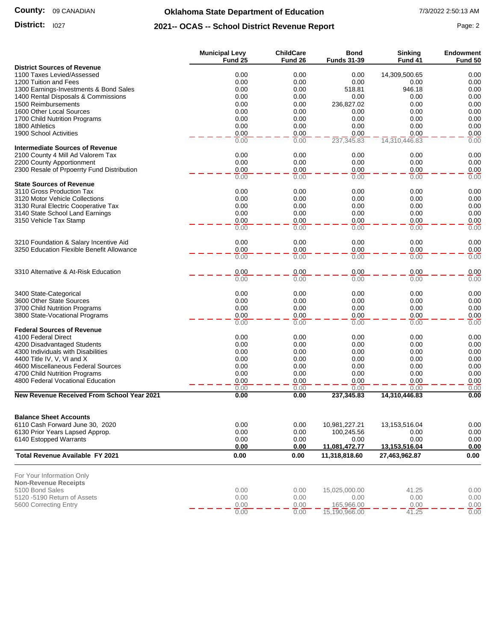### **County:** 09 CANADIAN

# **Oklahoma State Department of Education** 7/3/2022 2:50:13 AM

### **District:** I027 **Page: 2 2021-- OCAS -- School District Revenue Report** Page: 2

|--|--|

|                                                                    | <b>Municipal Levy</b><br>Fund 25 | <b>ChildCare</b><br>Fund 26 | Bond<br><b>Funds 31-39</b> | <b>Sinking</b><br>Fund 41 | <b>Endowment</b><br>Fund 50 |
|--------------------------------------------------------------------|----------------------------------|-----------------------------|----------------------------|---------------------------|-----------------------------|
| <b>District Sources of Revenue</b>                                 |                                  |                             |                            |                           |                             |
| 1100 Taxes Levied/Assessed                                         | 0.00                             | 0.00                        | 0.00                       | 14,309,500.65             | 0.00                        |
| 1200 Tuition and Fees                                              | 0.00                             | 0.00                        | 0.00                       | 0.00                      | 0.00                        |
| 1300 Earnings-Investments & Bond Sales                             | 0.00                             | 0.00                        | 518.81                     | 946.18                    | 0.00                        |
| 1400 Rental Disposals & Commissions                                | 0.00                             | 0.00                        | 0.00                       | 0.00                      | 0.00                        |
| 1500 Reimbursements                                                | 0.00                             | 0.00                        | 236,827.02                 | 0.00                      | 0.00                        |
| 1600 Other Local Sources                                           | 0.00                             | 0.00<br>0.00                | 0.00<br>0.00               | 0.00                      | 0.00<br>0.00                |
| 1700 Child Nutrition Programs<br>1800 Athletics                    | 0.00<br>0.00                     | 0.00                        | 0.00                       | 0.00<br>0.00              | 0.00                        |
| 1900 School Activities                                             | 0.00                             | 0.00                        | 0.00                       | 0.00                      | 0.00                        |
|                                                                    | 0.00                             | 0.00                        | 237,345.83                 | 14,310,446.83             | 0.00                        |
| <b>Intermediate Sources of Revenue</b>                             |                                  |                             |                            |                           |                             |
| 2100 County 4 Mill Ad Valorem Tax                                  | 0.00                             | 0.00                        | 0.00                       | 0.00                      | 0.00                        |
| 2200 County Apportionment                                          | 0.00                             | 0.00                        | 0.00                       | 0.00                      | 0.00                        |
| 2300 Resale of Prpoerrty Fund Distribution                         | 0.00                             | 0.00                        | 0.00                       | 0.00                      | 0.00                        |
|                                                                    | 0.00                             | 0.00                        | 0.00                       | 0.00                      | 0.00                        |
| <b>State Sources of Revenue</b>                                    |                                  |                             |                            |                           |                             |
| 3110 Gross Production Tax                                          | 0.00                             | 0.00                        | 0.00                       | 0.00                      | 0.00                        |
| 3120 Motor Vehicle Collections                                     | 0.00                             | 0.00                        | 0.00                       | 0.00                      | 0.00                        |
| 3130 Rural Electric Cooperative Tax                                | 0.00                             | 0.00                        | 0.00                       | 0.00                      | 0.00                        |
| 3140 State School Land Earnings                                    | 0.00                             | 0.00                        | 0.00                       | 0.00<br>0.00              | 0.00                        |
| 3150 Vehicle Tax Stamp                                             | 0.00<br>0.00                     | 0.00<br>0.00                | 0.00<br>0.00               | 0.00                      | 0.00<br>0.00                |
|                                                                    |                                  |                             |                            |                           |                             |
| 3210 Foundation & Salary Incentive Aid                             | 0.00                             | 0.00                        | 0.00                       | 0.00                      | 0.00                        |
| 3250 Education Flexible Benefit Allowance                          | 0.00                             | 0.00                        | 0.00                       | 0.00                      | 0.00                        |
|                                                                    | 0.00                             | 0.00                        | 0.00                       | 0.00                      | 0.00                        |
| 3310 Alternative & At-Risk Education                               | 0.00                             | 0.00                        | 0.00                       | 0.00                      | 0.00                        |
|                                                                    | 0.00                             | 0.00                        | 0.00                       | 0.00                      | 0.00                        |
| 3400 State-Categorical                                             | 0.00                             | 0.00                        | 0.00                       | 0.00                      | 0.00                        |
| 3600 Other State Sources                                           | 0.00                             | 0.00                        | 0.00                       | 0.00                      | 0.00                        |
| 3700 Child Nutrition Programs                                      | 0.00                             | 0.00                        | 0.00                       | 0.00                      | 0.00                        |
| 3800 State-Vocational Programs                                     | 0.00                             | 0.00                        | 0.00                       | 0.00                      | 0.00                        |
|                                                                    | 0.00                             | 0.00                        | 0.00                       | 0.00                      | 0.00                        |
| <b>Federal Sources of Revenue</b>                                  |                                  |                             |                            |                           |                             |
| 4100 Federal Direct                                                | 0.00                             | 0.00                        | 0.00                       | 0.00                      | 0.00                        |
| 4200 Disadvantaged Students                                        | 0.00                             | 0.00                        | 0.00                       | 0.00                      | 0.00                        |
| 4300 Individuals with Disabilities                                 | 0.00                             | 0.00                        | 0.00                       | 0.00                      | 0.00                        |
| 4400 Title IV, V, VI and X                                         | 0.00                             | 0.00                        | 0.00                       | 0.00                      | 0.00                        |
| 4600 Miscellaneous Federal Sources                                 | 0.00                             | 0.00<br>0.00                | 0.00                       | 0.00                      | 0.00                        |
| 4700 Child Nutrition Programs<br>4800 Federal Vocational Education | 0.00<br>0.00                     | 0.00                        | 0.00<br>0.00               | 0.00<br>0.00              | 0.00<br>0.00                |
|                                                                    | 0.00                             | 0.00                        | 0.00                       | 0.00                      | 0.00                        |
| New Revenue Received From School Year 2021                         | 0.00                             | 0.00                        | 237,345.83                 | 14,310,446.83             | 0.00                        |
|                                                                    |                                  |                             |                            |                           |                             |
| <b>Balance Sheet Accounts</b>                                      |                                  |                             |                            |                           |                             |
| 6110 Cash Forward June 30, 2020                                    | 0.00                             | 0.00                        | 10,981,227.21              | 13,153,516.04             | 0.00                        |
| 6130 Prior Years Lapsed Approp.                                    | 0.00                             | 0.00                        | 100,245.56                 | 0.00                      | 0.00                        |
| 6140 Estopped Warrants                                             | 0.00<br>0.00                     | 0.00<br>0.00                | 0.00<br>11,081,472.77      | 0.00<br>13,153,516.04     | 0.00<br>0.00                |
| <b>Total Revenue Available FY 2021</b>                             | 0.00                             | 0.00                        | 11,318,818.60              | 27,463,962.87             | 0.00                        |
| For Your Information Only                                          |                                  |                             |                            |                           |                             |
| <b>Non-Revenue Receipts</b>                                        |                                  |                             |                            |                           |                             |
| 5100 Bond Sales                                                    | 0.00                             | 0.00                        | 15,025,000.00              | 41.25                     | 0.00                        |
| 5120 -5190 Return of Assets                                        | 0.00                             | 0.00                        | 0.00                       | 0.00                      | 0.00                        |
| 5600 Correcting Entry                                              | 0.00                             | 0.00                        | 165,966.00                 | 0.00                      | 0.00                        |
|                                                                    | 0.00                             | 0.00                        | 15,190,966.00              | 41.25                     | 0.00                        |